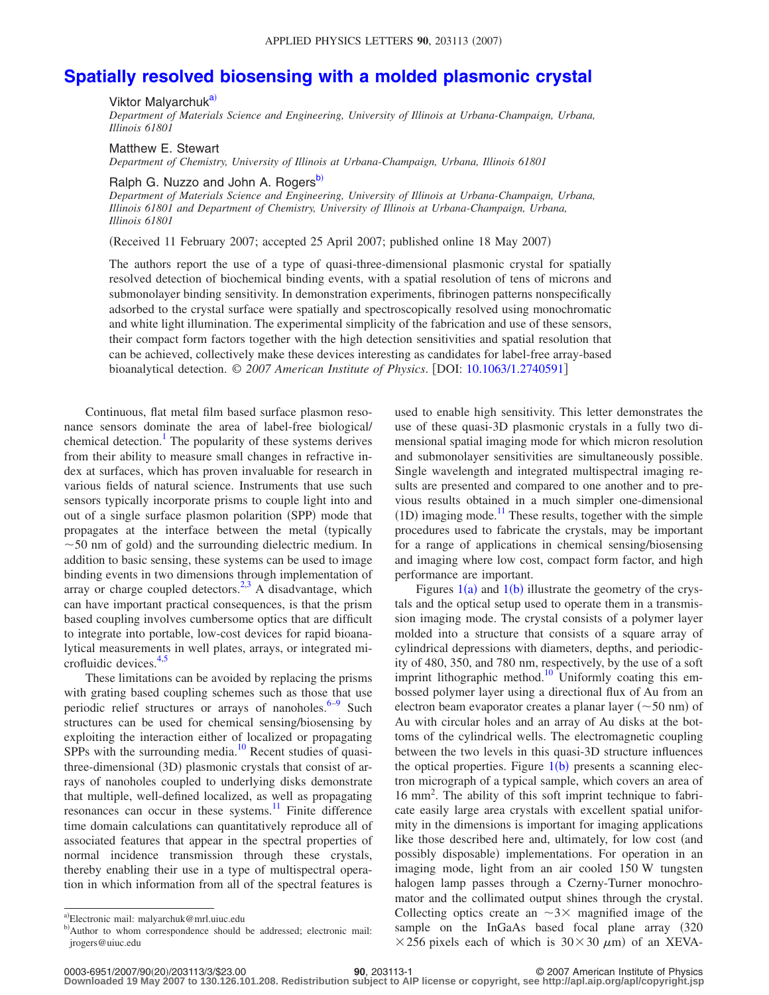## **[Spatially resolved biosensing with a molded plasmonic crystal](http://dx.doi.org/10.1063/1.2740591)**

Viktor Malyarchuk<sup>a)</sup>

*Department of Materials Science and Engineering, University of Illinois at Urbana-Champaign, Urbana, Illinois 61801*

Matthew E. Stewart

*Department of Chemistry, University of Illinois at Urbana-Champaign, Urbana, Illinois 61801*

Ralph G. Nuzzo and John A. Rogers<sup>b)</sup>

*Department of Materials Science and Engineering, University of Illinois at Urbana-Champaign, Urbana, Illinois 61801 and Department of Chemistry, University of Illinois at Urbana-Champaign, Urbana, Illinois 61801*

(Received 11 February 2007; accepted 25 April 2007; published online 18 May 2007)

The authors report the use of a type of quasi-three-dimensional plasmonic crystal for spatially resolved detection of biochemical binding events, with a spatial resolution of tens of microns and submonolayer binding sensitivity. In demonstration experiments, fibrinogen patterns nonspecifically adsorbed to the crystal surface were spatially and spectroscopically resolved using monochromatic and white light illumination. The experimental simplicity of the fabrication and use of these sensors, their compact form factors together with the high detection sensitivities and spatial resolution that can be achieved, collectively make these devices interesting as candidates for label-free array-based bioanalytical detection. © *2007 American Institute of Physics*. DOI: [10.1063/1.2740591](http://dx.doi.org/10.1063/1.2740591)

Continuous, flat metal film based surface plasmon resonance sensors dominate the area of label-free biological/ chemical detection.<sup>1</sup> The popularity of these systems derives from their ability to measure small changes in refractive index at surfaces, which has proven invaluable for research in various fields of natural science. Instruments that use such sensors typically incorporate prisms to couple light into and out of a single surface plasmon polarition (SPP) mode that propagates at the interface between the metal (typically  $\sim$  50 nm of gold) and the surrounding dielectric medium. In addition to basic sensing, these systems can be used to image binding events in two dimensions through implementation of array or charge coupled detectors.<sup>2,[3](#page-2-2)</sup> A disadvantage, which can have important practical consequences, is that the prism based coupling involves cumbersome optics that are difficult to integrate into portable, low-cost devices for rapid bioanalytical measurements in well plates, arrays, or integrated mi-crofluidic devices.<sup>4,[5](#page-2-4)</sup>

These limitations can be avoided by replacing the prisms with grating based coupling schemes such as those that use periodic relief structures or arrays of nanoholes. $6-9$  $6-9$  Such structures can be used for chemical sensing/biosensing by exploiting the interaction either of localized or propagating  $SPPs$  with the surrounding media.<sup>10</sup> Recent studies of quasithree-dimensional (3D) plasmonic crystals that consist of arrays of nanoholes coupled to underlying disks demonstrate that multiple, well-defined localized, as well as propagating resonances can occur in these systems.<sup>11</sup> Finite difference time domain calculations can quantitatively reproduce all of associated features that appear in the spectral properties of normal incidence transmission through these crystals, thereby enabling their use in a type of multispectral operation in which information from all of the spectral features is

Figures  $1(a)$  $1(a)$  and  $1(b)$  illustrate the geometry of the crystals and the optical setup used to operate them in a transmission imaging mode. The crystal consists of a polymer layer molded into a structure that consists of a square array of cylindrical depressions with diameters, depths, and periodicity of 480, 350, and 780 nm, respectively, by the use of a soft imprint lithographic method.<sup>10</sup> Uniformly coating this embossed polymer layer using a directional flux of Au from an electron beam evaporator creates a planar layer  $(\sim 50 \text{ nm})$  of Au with circular holes and an array of Au disks at the bottoms of the cylindrical wells. The electromagnetic coupling between the two levels in this quasi-3D structure influences the optical properties. Figure  $1(b)$  $1(b)$  presents a scanning electron micrograph of a typical sample, which covers an area of 16 mm2 . The ability of this soft imprint technique to fabricate easily large area crystals with excellent spatial uniformity in the dimensions is important for imaging applications like those described here and, ultimately, for low cost (and possibly disposable) implementations. For operation in an imaging mode, light from an air cooled 150 W tungsten halogen lamp passes through a Czerny-Turner monochromator and the collimated output shines through the crystal. Collecting optics create an  $\sim 3 \times$  magnified image of the sample on the InGaAs based focal plane array (320)  $\times$  256 pixels each of which is 30 $\times$ 30  $\mu$ m) of an XEVA-

used to enable high sensitivity. This letter demonstrates the use of these quasi-3D plasmonic crystals in a fully two dimensional spatial imaging mode for which micron resolution and submonolayer sensitivities are simultaneously possible. Single wavelength and integrated multispectral imaging results are presented and compared to one another and to previous results obtained in a much simpler one-dimensional  $(1D)$  imaging mode.<sup>11</sup> These results, together with the simple procedures used to fabricate the crystals, may be important for a range of applications in chemical sensing/biosensing and imaging where low cost, compact form factor, and high performance are important.

<span id="page-0-1"></span><span id="page-0-0"></span>a)Electronic mail: malyarchuk@mrl.uiuc.edu

b) Author to whom correspondence should be addressed; electronic mail: jrogers@uiuc.edu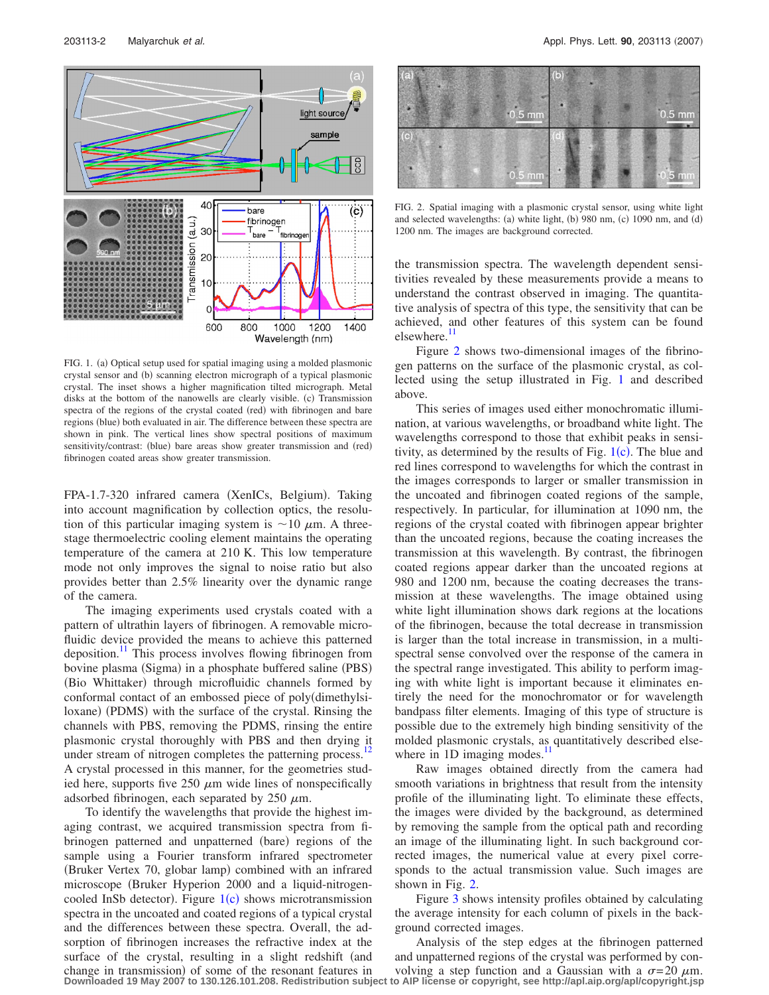<span id="page-1-0"></span>

FIG. 1. (a) Optical setup used for spatial imaging using a molded plasmonic crystal sensor and (b) scanning electron micrograph of a typical plasmonic crystal. The inset shows a higher magnification tilted micrograph. Metal disks at the bottom of the nanowells are clearly visible. (c) Transmission spectra of the regions of the crystal coated (red) with fibrinogen and bare regions (blue) both evaluated in air. The difference between these spectra are shown in pink. The vertical lines show spectral positions of maximum sensitivity/contrast: (blue) bare areas show greater transmission and (red) fibrinogen coated areas show greater transmission.

FPA-1.7-320 infrared camera (XenICs, Belgium). Taking into account magnification by collection optics, the resolution of this particular imaging system is  $\sim$  10  $\mu$ m. A threestage thermoelectric cooling element maintains the operating temperature of the camera at 210 K. This low temperature mode not only improves the signal to noise ratio but also provides better than 2.5% linearity over the dynamic range of the camera.

The imaging experiments used crystals coated with a pattern of ultrathin layers of fibrinogen. A removable microfluidic device provided the means to achieve this patterned deposition.<sup>11</sup> This process involves flowing fibrinogen from bovine plasma (Sigma) in a phosphate buffered saline (PBS) (Bio Whittaker) through microfluidic channels formed by conformal contact of an embossed piece of polydimethylsiloxane) (PDMS) with the surface of the crystal. Rinsing the channels with PBS, removing the PDMS, rinsing the entire plasmonic crystal thoroughly with PBS and then drying it under stream of nitrogen completes the patterning process.<sup>12</sup> A crystal processed in this manner, for the geometries studied here, supports five  $250 \mu m$  wide lines of nonspecifically adsorbed fibrinogen, each separated by  $250 \mu m$ .

To identify the wavelengths that provide the highest imaging contrast, we acquired transmission spectra from fibrinogen patterned and unpatterned (bare) regions of the sample using a Fourier transform infrared spectrometer (Bruker Vertex 70, globar lamp) combined with an infrared microscope Bruker Hyperion 2000 and a liquid-nitrogencooled InSb detector). Figure  $1(c)$  $1(c)$  shows microtransmission spectra in the uncoated and coated regions of a typical crystal and the differences between these spectra. Overall, the adsorption of fibrinogen increases the refractive index at the surface of the crystal, resulting in a slight redshift (and change in transmission) of some of the resonant features in **Downloaded 19 May 2007 to 130.126.101.208. Redistribution subject to AIP license or copyright, see http://apl.aip.org/apl/copyright.jsp**

<span id="page-1-1"></span>

FIG. 2. Spatial imaging with a plasmonic crystal sensor, using white light and selected wavelengths: (a) white light, (b) 980 nm, (c) 1090 nm, and (d) 1200 nm. The images are background corrected.

the transmission spectra. The wavelength dependent sensitivities revealed by these measurements provide a means to understand the contrast observed in imaging. The quantitative analysis of spectra of this type, the sensitivity that can be achieved, and other features of this system can be found elsewhere.<sup>11</sup>

Figure [2](#page-1-1) shows two-dimensional images of the fibrinogen patterns on the surface of the plasmonic crystal, as collected using the setup illustrated in Fig. [1](#page-1-0) and described above.

This series of images used either monochromatic illumination, at various wavelengths, or broadband white light. The wavelengths correspond to those that exhibit peaks in sensitivity, as determined by the results of Fig.  $1(c)$  $1(c)$ . The blue and red lines correspond to wavelengths for which the contrast in the images corresponds to larger or smaller transmission in the uncoated and fibrinogen coated regions of the sample, respectively. In particular, for illumination at 1090 nm, the regions of the crystal coated with fibrinogen appear brighter than the uncoated regions, because the coating increases the transmission at this wavelength. By contrast, the fibrinogen coated regions appear darker than the uncoated regions at 980 and 1200 nm, because the coating decreases the transmission at these wavelengths. The image obtained using white light illumination shows dark regions at the locations of the fibrinogen, because the total decrease in transmission is larger than the total increase in transmission, in a multispectral sense convolved over the response of the camera in the spectral range investigated. This ability to perform imaging with white light is important because it eliminates entirely the need for the monochromator or for wavelength bandpass filter elements. Imaging of this type of structure is possible due to the extremely high binding sensitivity of the molded plasmonic crystals, as quantitatively described elsewhere in 1D imaging modes. $\frac{11}{2}$ 

Raw images obtained directly from the camera had smooth variations in brightness that result from the intensity profile of the illuminating light. To eliminate these effects, the images were divided by the background, as determined by removing the sample from the optical path and recording an image of the illuminating light. In such background corrected images, the numerical value at every pixel corresponds to the actual transmission value. Such images are shown in Fig. [2.](#page-1-1)

Figure [3](#page-2-10) shows intensity profiles obtained by calculating the average intensity for each column of pixels in the background corrected images.

Analysis of the step edges at the fibrinogen patterned and unpatterned regions of the crystal was performed by convolving a step function and a Gaussian with a  $\sigma = 20 \mu m$ .